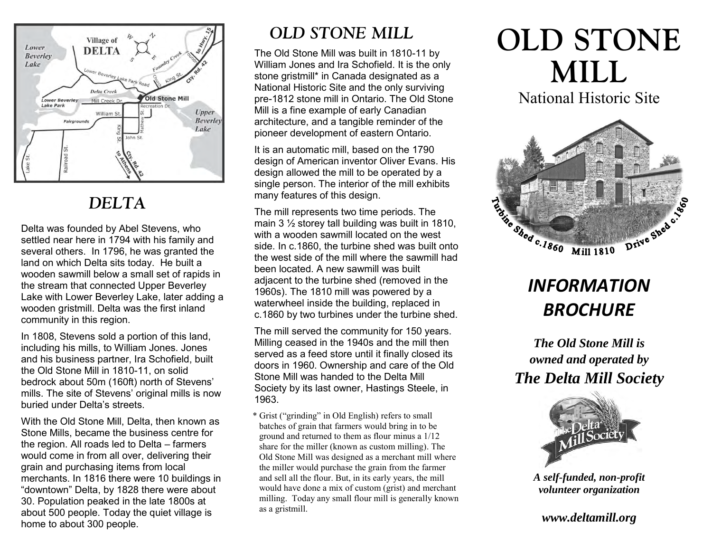

## *DELTA*

Delta was founded by Abel Stevens, who settled near here in 1794 with his family and several others. In 1796, he was granted the land on which Delta sits today. He built a wooden sawmill below a small set of rapids in the stream that connected Upper Beverley Lake with Lower Beverley Lake, later adding a wooden gristmill. Delta was the first inland community in this region.

In 1808, Stevens sold a portion of this land, including his mills, to William Jones. Jones and his business partner, Ira Schofield, built the Old Stone Mill in 1810-11, on solid bedrock about 50m (160ft) north of Stevens' mills. The site of Stevens' original mills is now buried under Delta's streets.

With the Old Stone Mill, Delta, then known as Stone Mills, became the business centre for the region. All roads led to Delta – farmers would come in from all over, delivering their grain and purchasing items from local merchants. In 1816 there were 10 buildings in "downtown" Delta, by 1828 there were about 30. Population peaked in the late 1800s at about 500 people. Today the quiet village is home to about 300 people.

## *OLD STONE MILL*

The Old Stone Mill was built in 1810-11 by William Jones and Ira Schofield. It is the only stone gristmill\* in Canada designated as a National Historic Site and the only surviving pre-1812 stone mill in Ontario. The Old Stone Mill is a fine example of early Canadian architecture, and a tangible reminder of the pioneer development of eastern Ontario.

It is an automatic mill, based on the 1790 design of American inventor Oliver Evans. His design allowed the mill to be operated by a single person. The interior of the mill exhibits many features of this design.

The mill represents two time periods. The main 3 ½ storey tall building was built in 1810, with a wooden sawmill located on the west side. In c.1860, the turbine shed was built onto the west side of the mill where the sawmill had been located. A new sawmill was built adjacent to the turbine shed (removed in the 1960s). The 1810 mill was powered by a waterwheel inside the building, replaced in c.1860 by two turbines under the turbine shed.

The mill served the community for 150 years. Milling ceased in the 1940s and the mill then served as a feed store until it finally closed its doors in 1960. Ownership and care of the Old Stone Mill was handed to the Delta Mill Society by its last owner, Hastings Steele, in 1963.

\* Grist ("grinding" in Old English) refers to small batches of grain that farmers would bring in to be ground and returned to them as flour minus a 1/12 share for the miller (known as custom milling). The Old Stone Mill was designed as a merchant mill where the miller would purchase the grain from the farmer and sell all the flour. But, in its early years, the mill would have done a mix of custom (grist) and merchant milling. Today any small flour mill is generally known as a gristmill.

# **OLD STONE MILL**

National Historic Site



## *INFORMATION BROCHURE*

*The Old Stone Mill is owned and operated by The Delta Mill Society* 



*A self-funded, non-profit volunteer organization* 

*www.deltamill.org*